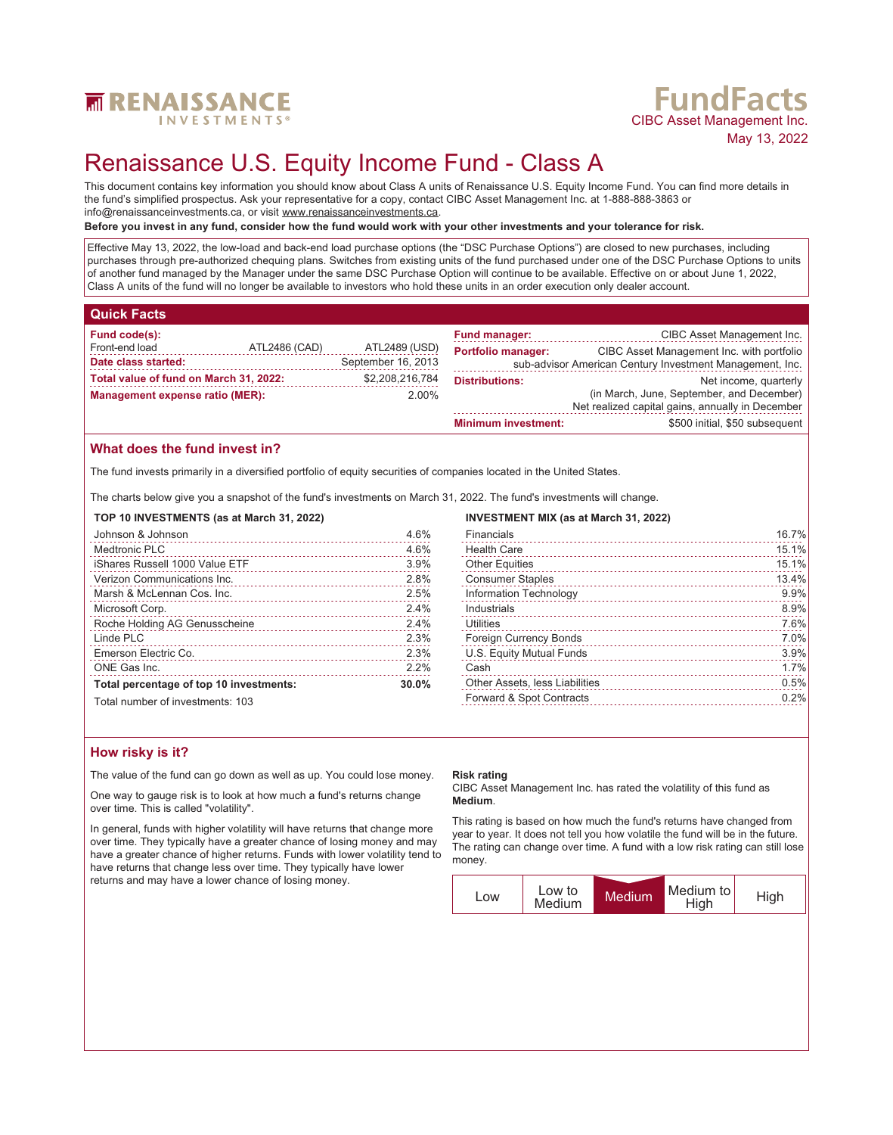

# **FundFacts**<br>CIBC Asset Management Inc. May 13, 2022

# Renaissance U.S. Equity Income Fund - Class A

This document contains key information you should know about Class A units of Renaissance U.S. Equity Income Fund. You can find more details in the fund's simplified prospectus. Ask your representative for a copy, contact CIBC Asset Management Inc. at 1-888-888-3863 or info@renaissanceinvestments.ca, or visit www.renaissanceinvestments.ca.

## **Before you invest in any fund, consider how the fund would work with your other investments and your tolerance for risk.**

Effective May 13, 2022, the low-load and back-end load purchase options (the "DSC Purchase Options") are closed to new purchases, including purchases through pre-authorized chequing plans. Switches from existing units of the fund purchased under one of the DSC Purchase Options to units of another fund managed by the Manager under the same DSC Purchase Option will continue to be available. Effective on or about June 1, 2022, Class A units of the fund will no longer be available to investors who hold these units in an order execution only dealer account.

## **Quick Facts**

| Fund code(s):                          |               |                    | <b>Fund manager:</b>                      | CIBC Asset Management Inc.                               |
|----------------------------------------|---------------|--------------------|-------------------------------------------|----------------------------------------------------------|
| Front-end load                         | ATL2486 (CAD) | ATL2489 (USD)      | <b>Portfolio manager:</b>                 | CIBC Asset Management Inc. with portfolio                |
| Date class started:                    |               | September 16, 2013 |                                           | sub-advisor American Century Investment Management, Inc. |
| Total value of fund on March 31, 2022: |               | \$2,208,216,784    | <b>Distributions:</b>                     | Net income, quarterly                                    |
| Management expense ratio (MER):        |               | $2.00\%$           | (in March, June, September, and December) |                                                          |
|                                        |               |                    |                                           | Net realized capital gains, annually in December         |

## **What does the fund invest in?**

The fund invests primarily in a diversified portfolio of equity securities of comp

The charts below give you a snapshot of the fund's investments on March 31,

### **TOP 10 INVESTMENTS (as at March 31, 2022)**

| Johnson & Johnson                       | 4.6%  |
|-----------------------------------------|-------|
| Medtronic PLC                           | 4.6%  |
| iShares Russell 1000 Value ETF          | 3.9%  |
| Verizon Communications Inc.             | 2.8%  |
| Marsh & McLennan Cos. Inc.              | 2.5%  |
| Microsoft Corp.                         | 2.4%  |
| Roche Holding AG Genusscheine           | 2.4%  |
| Linde PLC                               | 2.3%  |
| Emerson Electric Co.                    | 2.3%  |
| ONE Gas Inc.                            | 2.2%  |
| Total percentage of top 10 investments: | 30.0% |
| Total number of investments: 103        |       |

| <b>Minimum investment:</b>                   | \$500 initial, \$50 subsequent |
|----------------------------------------------|--------------------------------|
|                                              |                                |
| panies located in the United States.         |                                |
| , 2022. The fund's investments will change.  |                                |
| <b>INVESTMENT MIX (as at March 31, 2022)</b> |                                |
| Financials                                   | 16.7%                          |
| <b>Health Care</b>                           | 15.1%                          |
| <b>Other Equities</b>                        | 15.1%                          |
| <b>Consumer Staples</b>                      | 13.4%                          |
| Information Technology                       | 9.9%                           |
| Industrials                                  | 8.9%                           |
| 1.1111111                                    | 7.001                          |

| Utilities                      | 7.6% |
|--------------------------------|------|
| Foreign Currency Bonds         | 7.0% |
| U.S. Equity Mutual Funds       | 3.9% |
| Cash                           | 1.7% |
| Other Assets, less Liabilities | 0.5% |
| Forward & Spot Contracts       | 0.2% |

## **How risky is it?**

The value of the fund can go down as well as up. You could lose money.

One way to gauge risk is to look at how much a fund's returns change over time. This is called "volatility".

In general, funds with higher volatility will have returns that change more over time. They typically have a greater chance of losing money and may have a greater chance of higher returns. Funds with lower volatility tend to have returns that change less over time. They typically have lower returns and may have a lower chance of losing money.

### **Risk rating**

CIBC Asset Management Inc. has rated the volatility of this fund as **Medium**.

This rating is based on how much the fund's returns have changed from year to year. It does not tell you how volatile the fund will be in the future. The rating can change over time. A fund with a low risk rating can still lose money.

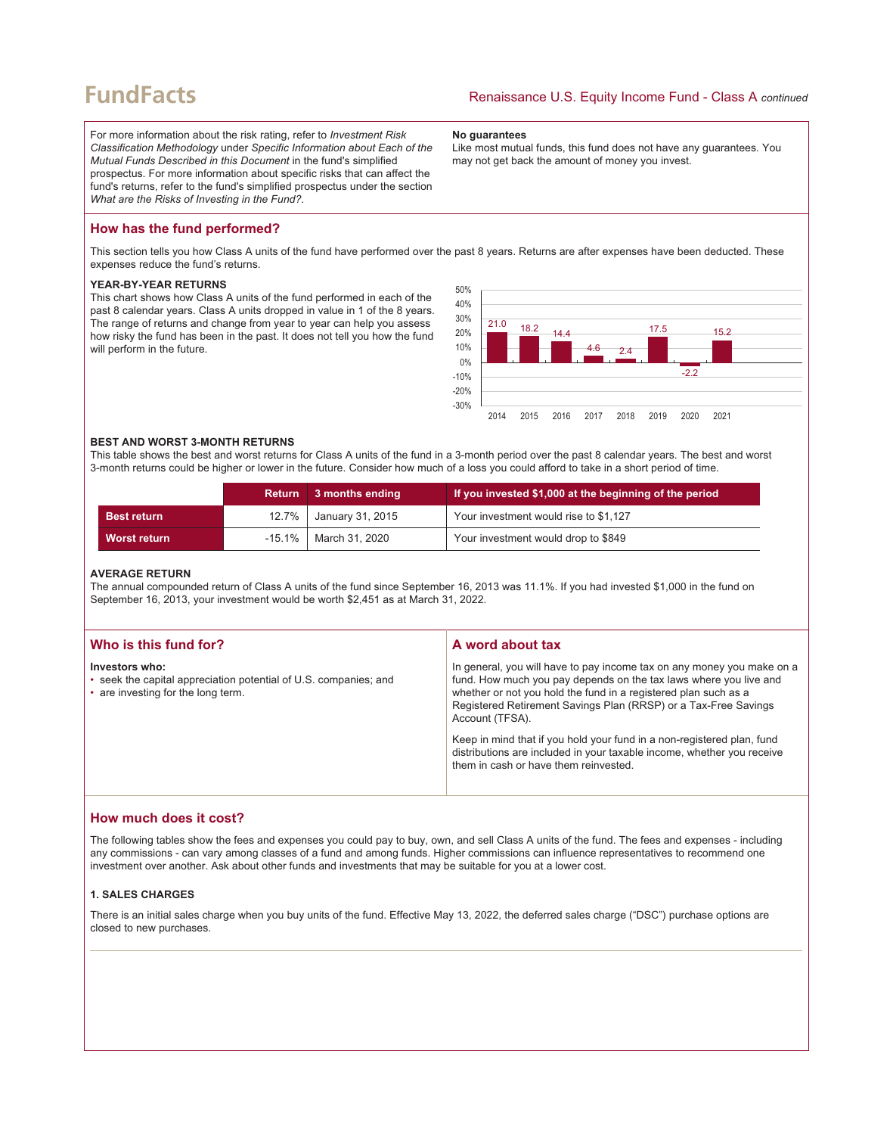## **FundFacts**

For more information about the risk rating, refer to *Investment Risk Classification Methodology* under *Specific Information about Each of the Mutual Funds Described in this Document* in the fund's simplified prospectus. For more information about specific risks that can affect the fund's returns, refer to the fund's simplified prospectus under the section *What are the Risks of Investing in the Fund?*.

#### **No guarantees**

Like most mutual funds, this fund does not have any guarantees. You may not get back the amount of money you invest.

## **How has the fund performed?**

This section tells you how Class A units of the fund have performed over the past 8 years. Returns are after expenses have been deducted. These expenses reduce the fund's returns.

#### **YEAR-BY-YEAR RETURNS**

This chart shows how Class A units of the fund performed in each of the past 8 calendar years. Class A units dropped in value in 1 of the 8 years. The range of returns and change from year to year can help you assess how risky the fund has been in the past. It does not tell you how the fund will perform in the future.



### **BEST AND WORST 3-MONTH RETURNS**

This table shows the best and worst returns for Class A units of the fund in a 3-month period over the past 8 calendar years. The best and worst 3-month returns could be higher or lower in the future. Consider how much of a loss you could afford to take in a short period of time.

|               | Return    | 3 months ending          | If you invested \$1,000 at the beginning of the period |
|---------------|-----------|--------------------------|--------------------------------------------------------|
| ∣ Best return |           | 12.7%   January 31, 2015 | Your investment would rise to \$1,127                  |
| Worst return  | $-15.1\%$ | March 31, 2020           | Your investment would drop to \$849                    |

#### **AVERAGE RETURN**

The annual compounded return of Class A units of the fund since September 16, 2013 was 11.1%. If you had invested \$1,000 in the fund on September 16, 2013, your investment would be worth \$2,451 as at March 31, 2022.

| Who is this fund for?                                                                                                    | A word about tax                                                                                                                                                                                                                                                                                     |
|--------------------------------------------------------------------------------------------------------------------------|------------------------------------------------------------------------------------------------------------------------------------------------------------------------------------------------------------------------------------------------------------------------------------------------------|
| Investors who:<br>• seek the capital appreciation potential of U.S. companies; and<br>• are investing for the long term. | In general, you will have to pay income tax on any money you make on a<br>fund. How much you pay depends on the tax laws where you live and<br>whether or not you hold the fund in a registered plan such as a<br>Registered Retirement Savings Plan (RRSP) or a Tax-Free Savings<br>Account (TFSA). |
|                                                                                                                          | Keep in mind that if you hold your fund in a non-registered plan, fund<br>distributions are included in your taxable income, whether you receive<br>them in cash or have them reinvested.                                                                                                            |

## **How much does it cost?**

The following tables show the fees and expenses you could pay to buy, own, and sell Class A units of the fund. The fees and expenses - including any commissions - can vary among classes of a fund and among funds. Higher commissions can influence representatives to recommend one investment over another. Ask about other funds and investments that may be suitable for you at a lower cost.

## **1. SALES CHARGES**

There is an initial sales charge when you buy units of the fund. Effective May 13, 2022, the deferred sales charge ("DSC") purchase options are closed to new purchases.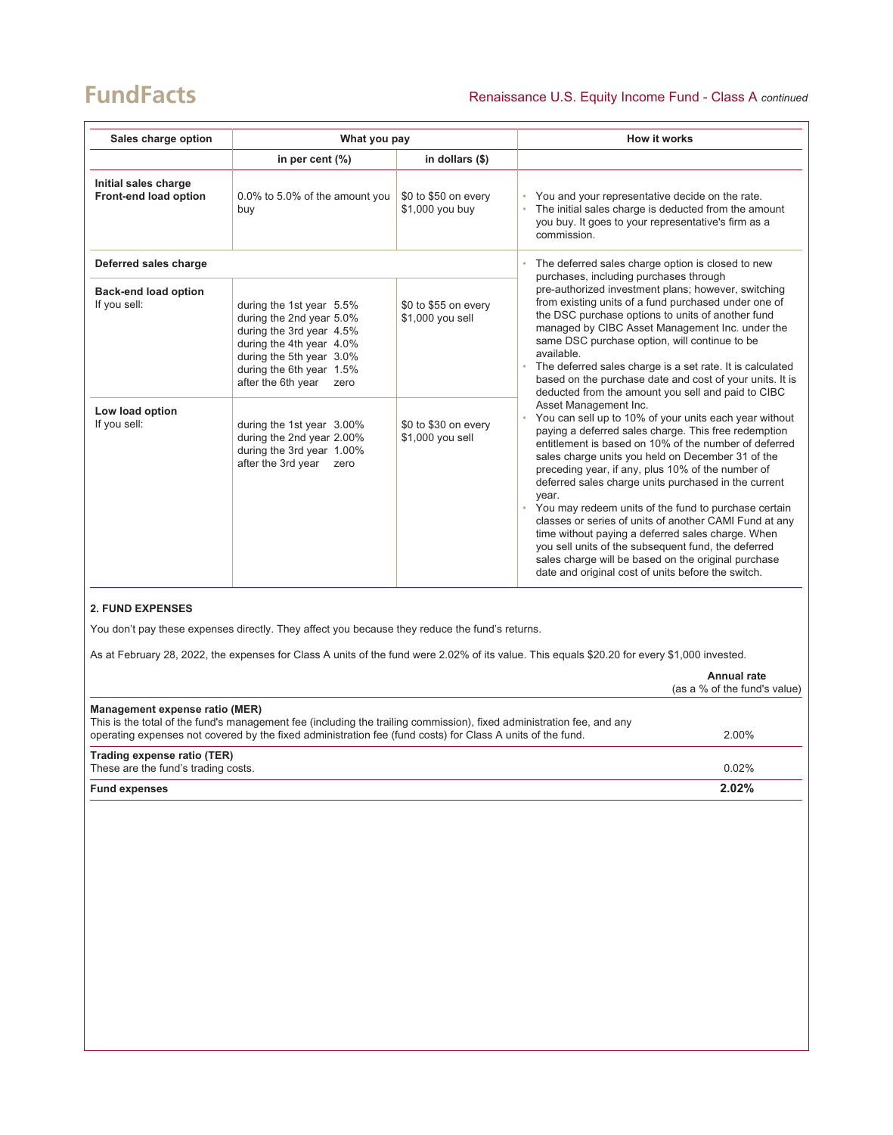## **FundFacts**

| Sales charge option                           | What you pay                                                                                                                                                                                       |                                          | How it works                                                                                                                                                                                                                                                                                                                                                                                                                                                                                                                                                                                                                                                                                                           |
|-----------------------------------------------|----------------------------------------------------------------------------------------------------------------------------------------------------------------------------------------------------|------------------------------------------|------------------------------------------------------------------------------------------------------------------------------------------------------------------------------------------------------------------------------------------------------------------------------------------------------------------------------------------------------------------------------------------------------------------------------------------------------------------------------------------------------------------------------------------------------------------------------------------------------------------------------------------------------------------------------------------------------------------------|
|                                               | in per cent $(\%)$                                                                                                                                                                                 | in dollars (\$)                          |                                                                                                                                                                                                                                                                                                                                                                                                                                                                                                                                                                                                                                                                                                                        |
| Initial sales charge<br>Front-end load option | 0.0% to 5.0% of the amount you<br>buy                                                                                                                                                              | \$0 to \$50 on every<br>\$1,000 you buy  | You and your representative decide on the rate.<br>The initial sales charge is deducted from the amount<br>you buy. It goes to your representative's firm as a<br>commission.                                                                                                                                                                                                                                                                                                                                                                                                                                                                                                                                          |
| Deferred sales charge                         |                                                                                                                                                                                                    |                                          | The deferred sales charge option is closed to new<br>۰<br>purchases, including purchases through<br>pre-authorized investment plans; however, switching                                                                                                                                                                                                                                                                                                                                                                                                                                                                                                                                                                |
| <b>Back-end load option</b><br>If you sell:   | during the 1st year 5.5%<br>during the 2nd year 5.0%<br>during the 3rd year 4.5%<br>during the 4th year 4.0%<br>during the 5th year 3.0%<br>during the 6th year 1.5%<br>after the 6th year<br>zero | \$0 to \$55 on every<br>\$1,000 you sell | from existing units of a fund purchased under one of<br>the DSC purchase options to units of another fund<br>managed by CIBC Asset Management Inc. under the<br>same DSC purchase option, will continue to be<br>available.<br>The deferred sales charge is a set rate. It is calculated<br>based on the purchase date and cost of your units. It is<br>deducted from the amount you sell and paid to CIBC                                                                                                                                                                                                                                                                                                             |
| Low load option<br>If you sell:               | during the 1st year 3.00%<br>during the 2nd year 2.00%<br>during the 3rd year 1.00%<br>after the 3rd year<br>zero                                                                                  | \$0 to \$30 on every<br>\$1,000 you sell | Asset Management Inc.<br>You can sell up to 10% of your units each year without<br>paying a deferred sales charge. This free redemption<br>entitlement is based on 10% of the number of deferred<br>sales charge units you held on December 31 of the<br>preceding year, if any, plus 10% of the number of<br>deferred sales charge units purchased in the current<br>year.<br>You may redeem units of the fund to purchase certain<br>classes or series of units of another CAMI Fund at any<br>time without paying a deferred sales charge. When<br>you sell units of the subsequent fund, the deferred<br>sales charge will be based on the original purchase<br>date and original cost of units before the switch. |

## **2. FUND EXPENSES**

You don't pay these expenses directly. They affect you because they reduce the fund's returns.

As at February 28, 2022, the expenses for Class A units of the fund were 2.02% of its value. This equals \$20.20 for every \$1,000 invested.

|                                                                                                                                                                                                                                                                       | Annual rate<br>(as a % of the fund's value) |
|-----------------------------------------------------------------------------------------------------------------------------------------------------------------------------------------------------------------------------------------------------------------------|---------------------------------------------|
| Management expense ratio (MER)<br>This is the total of the fund's management fee (including the trailing commission), fixed administration fee, and any<br>operating expenses not covered by the fixed administration fee (fund costs) for Class A units of the fund. | $2.00\%$                                    |
| Trading expense ratio (TER)<br>These are the fund's trading costs.                                                                                                                                                                                                    | $0.02\%$                                    |
| <b>Fund expenses</b>                                                                                                                                                                                                                                                  | $2.02\%$                                    |